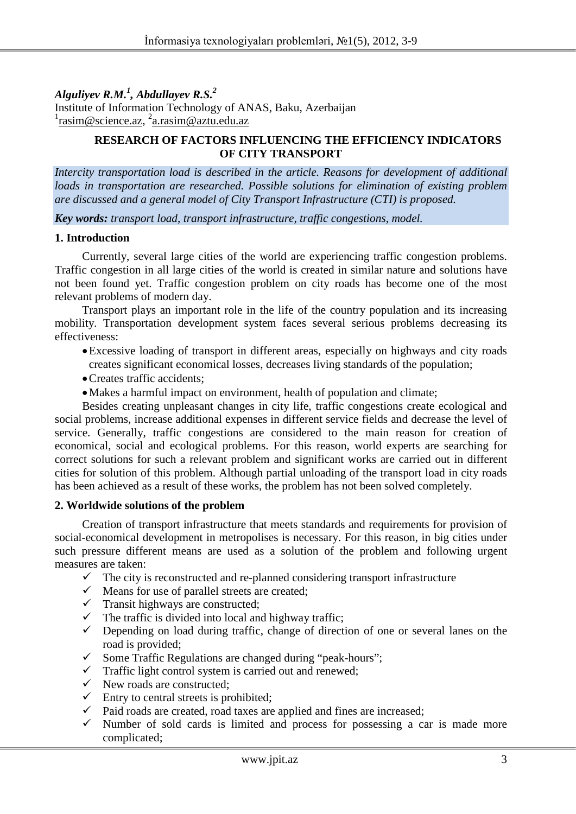*Alguliyev R.M.1 , Abdullayev R.S.2*

Institute of Information Technology of ANAS, Baku, Azerbaijan <sup>1</sup>[rasim@science.az,](mailto:rasim@science.az) <sup>2</sup>[a.rasim@aztu.edu.az](mailto:a.rasim@aztu.edu.az)

### **RESEARCH OF FACTORS INFLUENCING THE EFFICIENCY INDICATORS OF CITY TRANSPORT**

*Intercity transportation load is described in the article. Reasons for development of additional loads in transportation are researched. Possible solutions for elimination of existing problem are discussed and a general model of City Transport Infrastructure (CTI) is proposed.* 

*Key words: transport load, transport infrastructure, traffic congestions, model.*

#### **1. Introduction**

Currently, several large cities of the world are experiencing traffic congestion problems. Traffic congestion in all large cities of the world is created in similar nature and solutions have not been found yet. Traffic congestion problem on city roads has become one of the most relevant problems of modern day.

Transport plays an important role in the life of the country population and its increasing mobility. Transportation development system faces several serious problems decreasing its effectiveness:

- •Excessive loading of transport in different areas, especially on highways and city roads creates significant economical losses, decreases living standards of the population;
- •Creates traffic accidents;
- •Makes a harmful impact on environment, health of population and climate;

Besides creating unpleasant changes in city life, traffic congestions create ecological and social problems, increase additional expenses in different service fields and decrease the level of service. Generally, traffic congestions are considered to the main reason for creation of economical, social and ecological problems. For this reason, world experts are searching for correct solutions for such a relevant problem and significant works are carried out in different cities for solution of this problem. Although partial unloading of the transport load in city roads has been achieved as a result of these works, the problem has not been solved completely.

### **2. Worldwide solutions of the problem**

Creation of transport infrastructure that meets standards and requirements for provision of social-economical development in metropolises is necessary. For this reason, in big cities under such pressure different means are used as a solution of the problem and following urgent measures are taken:

- $\checkmark$  The city is reconstructed and re-planned considering transport infrastructure  $\checkmark$  Means for use of parallel streets are created:
- Means for use of parallel streets are created;
- $\checkmark$  Transit highways are constructed;
- $\checkmark$  The traffic is divided into local and highway traffic;
- $\checkmark$  Depending on load during traffic, change of direction of one or several lanes on the road is provided;
- $\checkmark$  Some Traffic Regulations are changed during "peak-hours";
- $\checkmark$  Traffic light control system is carried out and renewed;<br> $\checkmark$  New roads are constructed:
- New roads are constructed;
- $\checkmark$  Entry to central streets is prohibited;
- Paid roads are created, road taxes are applied and fines are increased;
- $\checkmark$  Number of sold cards is limited and process for possessing a car is made more complicated;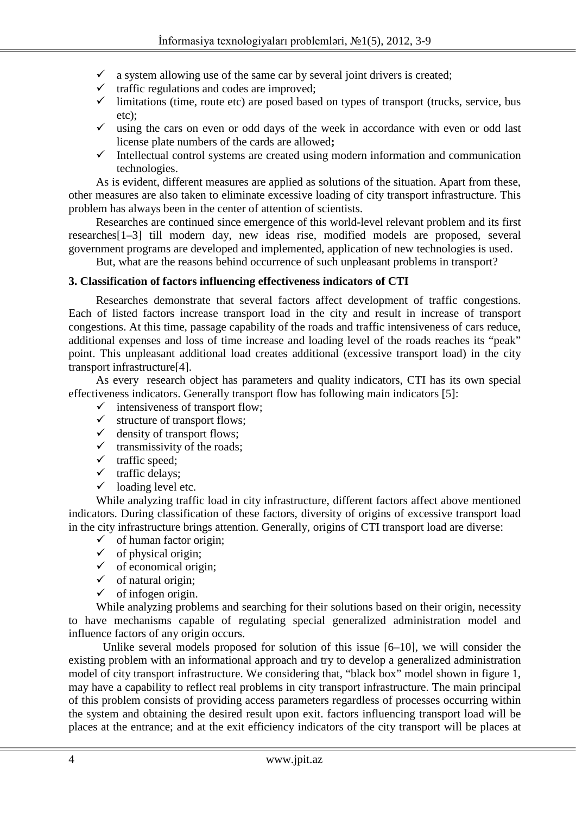- $\checkmark$  a system allowing use of the same car by several joint drivers is created;
- $\checkmark$  traffic regulations and codes are improved;
- $\checkmark$  limitations (time, route etc) are posed based on types of transport (trucks, service, bus etc);
- $\checkmark$  using the cars on even or odd days of the week in accordance with even or odd last license plate numbers of the cards are allowed**;**
- $\checkmark$  Intellectual control systems are created using modern information and communication technologies.

As is evident, different measures are applied as solutions of the situation. Apart from these, other measures are also taken to eliminate excessive loading of city transport infrastructure. This problem has always been in the center of attention of scientists.

Researches are continued since emergence of this world-level relevant problem and its first researches[1–3] till modern day, new ideas rise, modified models are proposed, several government programs are developed and implemented, application of new technologies is used.

But, what are the reasons behind occurrence of such unpleasant problems in transport?

# **3. Classification of factors influencing effectiveness indicators of CTI**

Researches demonstrate that several factors affect development of traffic congestions. Each of listed factors increase transport load in the city and result in increase of transport congestions. At this time, passage capability of the roads and traffic intensiveness of cars reduce, additional expenses and loss of time increase and loading level of the roads reaches its "peak" point. This unpleasant additional load creates additional (excessive transport load) in the city transport infrastructure[4].

As every research object has parameters and quality indicators, CTI has its own special effectiveness indicators. Generally transport flow has following main indicators [5]:

- $\checkmark$  intensiveness of transport flow;
- $\checkmark$  structure of transport flows;
- $\checkmark$  density of transport flows;
- $\checkmark$  transmissivity of the roads;
- $\checkmark$  traffic speed;
- $\checkmark$  traffic delays;
- $\checkmark$  loading level etc.

While analyzing traffic load in city infrastructure, different factors affect above mentioned indicators. During classification of these factors, diversity of origins of excessive transport load in the city infrastructure brings attention. Generally, origins of CTI transport load are diverse:

- $\checkmark$  of human factor origin;
- $\checkmark$  of physical origin;
- $\checkmark$  of economical origin;
- $\checkmark$  of natural origin;
- $\checkmark$  of infogen origin.

While analyzing problems and searching for their solutions based on their origin, necessity to have mechanisms capable of regulating special generalized administration model and influence factors of any origin occurs.

Unlike several models proposed for solution of this issue [6–10], we will consider the existing problem with an informational approach and try to develop a generalized administration model of city transport infrastructure. We considering that, "black box" model shown in figure 1, may have a capability to reflect real problems in city transport infrastructure. The main principal of this problem consists of providing access parameters regardless of processes occurring within the system and obtaining the desired result upon exit. factors influencing transport load will be places at the entrance; and at the exit efficiency indicators of the city transport will be places at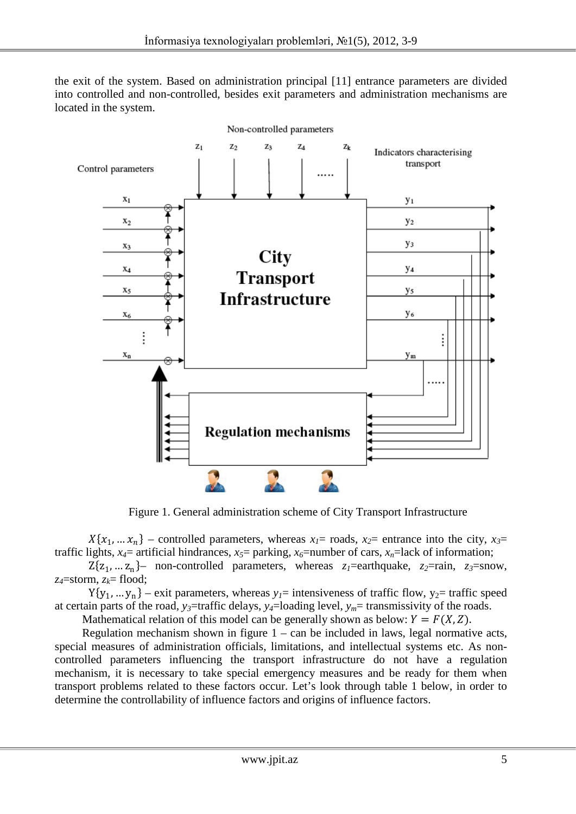the exit of the system. Based on administration principal [11] entrance parameters are divided into controlled and non-controlled, besides exit parameters and administration mechanisms are located in the system.



Figure 1. General administration scheme of City Transport Infrastructure

 $X\{x_1, \ldots, x_n\}$  – controlled parameters, whereas  $x_1$ = roads,  $x_2$ = entrance into the city,  $x_3$ = traffic lights,  $x_4$ = artificial hindrances,  $x_5$ = parking,  $x_6$ =number of cars,  $x_n$ =lack of information;

 $Z\{z_1, \ldots z_n\}$ – non-controlled parameters, whereas  $z_1$ =earthquake,  $z_2$ =rain,  $z_3$ =snow, *z4*=storm, *zk*= flood;

 $Y{y_1, ..., y_n}$  – exit parameters, whereas  $y_1$ = intensiveness of traffic flow,  $y_2$ = traffic speed at certain parts of the road,  $y_3$ =traffic delays,  $y_4$ =loading level,  $y_m$ = transmissivity of the roads.

Mathematical relation of this model can be generally shown as below:  $Y = F(X, Z)$ .

Regulation mechanism shown in figure  $1 - \text{can}$  be included in laws, legal normative acts, special measures of administration officials, limitations, and intellectual systems etc. As noncontrolled parameters influencing the transport infrastructure do not have a regulation mechanism, it is necessary to take special emergency measures and be ready for them when transport problems related to these factors occur. Let's look through table 1 below, in order to determine the controllability of influence factors and origins of influence factors.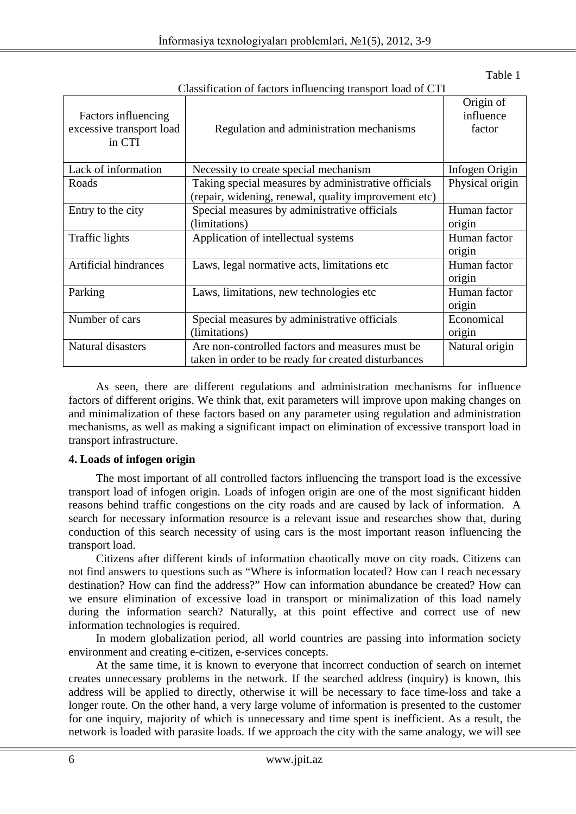Table 1

| Chassincation of nacions influencing transport load of CTT |                                                      |                                  |
|------------------------------------------------------------|------------------------------------------------------|----------------------------------|
| Factors influencing<br>excessive transport load<br>in CTI  | Regulation and administration mechanisms             | Origin of<br>influence<br>factor |
| Lack of information                                        | Necessity to create special mechanism                | Infogen Origin                   |
| Roads                                                      | Taking special measures by administrative officials  | Physical origin                  |
|                                                            | (repair, widening, renewal, quality improvement etc) |                                  |
| Entry to the city                                          | Special measures by administrative officials         | Human factor                     |
|                                                            | (limitations)                                        | origin                           |
| <b>Traffic lights</b>                                      | Application of intellectual systems                  | Human factor<br>origin           |
| Artificial hindrances                                      | Laws, legal normative acts, limitations etc.         | Human factor<br>origin           |
| Parking                                                    | Laws, limitations, new technologies etc.             | Human factor<br>origin           |
| Number of cars                                             | Special measures by administrative officials         | Economical                       |
|                                                            | (limitations)                                        | origin                           |
| Natural disasters                                          | Are non-controlled factors and measures must be      | Natural origin                   |
|                                                            | taken in order to be ready for created disturbances  |                                  |

Classification of factors influencing transport load of CTI

As seen, there are different regulations and administration mechanisms for influence factors of different origins. We think that, exit parameters will improve upon making changes on and minimalization of these factors based on any parameter using regulation and administration mechanisms, as well as making a significant impact on elimination of excessive transport load in transport infrastructure.

# **4. Loads of infogen origin**

The most important of all controlled factors influencing the transport load is the excessive transport load of infogen origin. Loads of infogen origin are one of the most significant hidden reasons behind traffic congestions on the city roads and are caused by lack of information. A search for necessary information resource is a relevant issue and researches show that, during conduction of this search necessity of using cars is the most important reason influencing the transport load.

Citizens after different kinds of information chaotically move on city roads. Citizens can not find answers to questions such as "Where is information located? How can I reach necessary destination? How can find the address?" How can information abundance be created? How can we ensure elimination of excessive load in transport or minimalization of this load namely during the information search? Naturally, at this point effective and correct use of new information technologies is required.

In modern globalization period, all world countries are passing into information society environment and creating e-citizen, e-services concepts.

At the same time, it is known to everyone that incorrect conduction of search on internet creates unnecessary problems in the network. If the searched address (inquiry) is known, this address will be applied to directly, otherwise it will be necessary to face time-loss and take a longer route. On the other hand, a very large volume of information is presented to the customer for one inquiry, majority of which is unnecessary and time spent is inefficient. As a result, the network is loaded with parasite loads. If we approach the city with the same analogy, we will see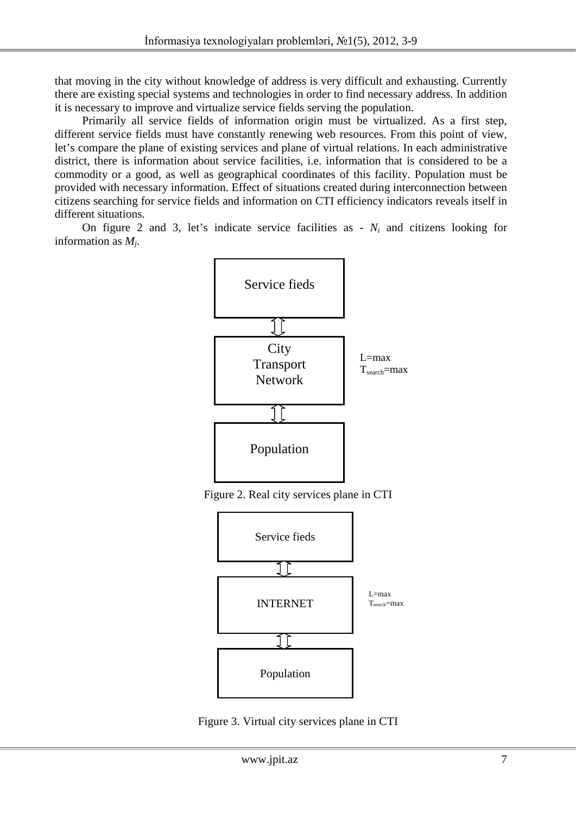that moving in the city without knowledge of address is very difficult and exhausting. Currently there are existing special systems and technologies in order to find necessary address. In addition it is necessary to improve and virtualize service fields serving the population.

Primarily all service fields of information origin must be virtualized. As a first step, different service fields must have constantly renewing web resources. From this point of view, let's compare the plane of existing services and plane of virtual relations. In each administrative district, there is information about service facilities, i.e. information that is considered to be a commodity or a good, as well as geographical coordinates of this facility. Population must be provided with necessary information. Effect of situations created during interconnection between citizens searching for service fields and information on CTI efficiency indicators reveals itself in different situations.

On figure 2 and 3, let's indicate service facilities as  $- N_i$  and citizens looking for information as *Mj*.



Figure 2. Real city services plane in CTI



Figure 3. Virtual city services plane in CTI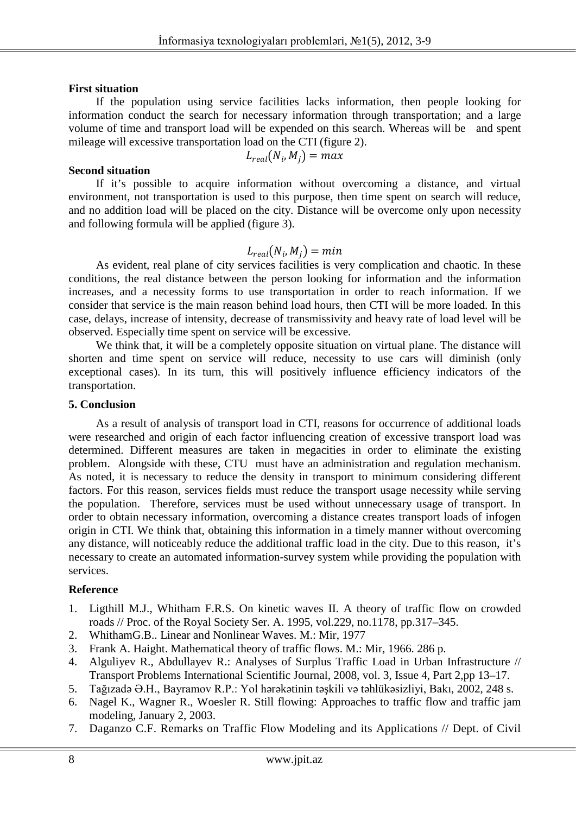#### **First situation**

If the population using service facilities lacks information, then people looking for information conduct the search for necessary information through transportation; and a large volume of time and transport load will be expended on this search. Whereas will be and spent mileage will excessive transportation load on the CTI (figure 2).

$$
L_{real}(N_i,M_j)=max
$$

#### **Second situation**

If it's possible to acquire information without overcoming a distance, and virtual environment, not transportation is used to this purpose, then time spent on search will reduce, and no addition load will be placed on the city. Distance will be overcome only upon necessity and following formula will be applied (figure 3).

# $L_{real}(N_i, M_i) = min$

As evident, real plane of city services facilities is very complication and chaotic. In these conditions, the real distance between the person looking for information and the information increases, and a necessity forms to use transportation in order to reach information. If we consider that service is the main reason behind load hours, then CTI will be more loaded. In this case, delays, increase of intensity, decrease of transmissivity and heavy rate of load level will be observed. Especially time spent on service will be excessive.

We think that, it will be a completely opposite situation on virtual plane. The distance will shorten and time spent on service will reduce, necessity to use cars will diminish (only exceptional cases). In its turn, this will positively influence efficiency indicators of the transportation.

#### **5. Conclusion**

As a result of analysis of transport load in CTI, reasons for occurrence of additional loads were researched and origin of each factor influencing creation of excessive transport load was determined. Different measures are taken in megacities in order to eliminate the existing problem. Alongside with these, CTU must have an administration and regulation mechanism. As noted, it is necessary to reduce the density in transport to minimum considering different factors. For this reason, services fields must reduce the transport usage necessity while serving the population. Therefore, services must be used without unnecessary usage of transport. In order to obtain necessary information, overcoming a distance creates transport loads of infogen origin in CTI. We think that, obtaining this information in a timely manner without overcoming any distance, will noticeably reduce the additional traffic load in the city. Due to this reason, it's necessary to create an automated information-survey system while providing the population with services.

### **Reference**

- 1. Ligthill M.J., Whitham F.R.S. On kinetic waves II. A theory of traffic flow on crowded roads // Proc. of the Royal Society Ser. A. 1995, vol.229, no.1178, pp.317–345.
- 2. WhithamG.B.. Linear and Nonlinear Waves. M.: Mir, 1977
- 3. Frank A. Haight. Mathematical theory of traffic flows. M.: Mir, 1966. 286 p.
- 4. Alguliyev R., Abdullayev R.: Analyses of Surplus Traffic Load in Urban Infrastructure // Transport Problems International Scientific Journal, 2008, vol. 3, Issue 4, Part 2,pp 13–17.
- 5. Tağızadə Ə.H., Bayramov R.P.: Yol hərəkətinin təşkili və təhlükəsizliyi, Bakı, 2002, 248 s.
- 6. Nagel K., Wagner R., Woesler R. Still flowing: Approaches to traffic flow and traffic jam modeling, January 2, 2003.
- 7. Daganzo C.F. Remarks on Traffic Flow Modeling and its Applications // Dept. of Civil